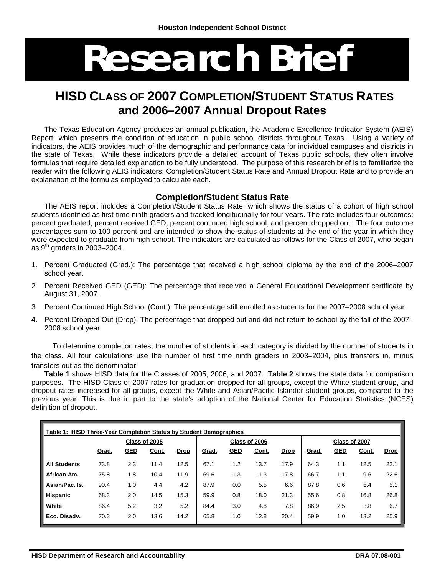# **Research Brief**

# **HISD CLASS OF 2007 COMPLETION/STUDENT STATUS RATES and 2006–2007 Annual Dropout Rates**

The Texas Education Agency produces an annual publication, the Academic Excellence Indicator System (AEIS) Report, which presents the condition of education in public school districts throughout Texas. Using a variety of indicators, the AEIS provides much of the demographic and performance data for individual campuses and districts in the state of Texas. While these indicators provide a detailed account of Texas public schools, they often involve formulas that require detailed explanation to be fully understood. The purpose of this research brief is to familiarize the reader with the following AEIS indicators: Completion/Student Status Rate and Annual Dropout Rate and to provide an explanation of the formulas employed to calculate each.

#### **Completion/Student Status Rate**

The AEIS report includes a Completion/Student Status Rate, which shows the status of a cohort of high school students identified as first-time ninth graders and tracked longitudinally for four years. The rate includes four outcomes: percent graduated, percent received GED, percent continued high school, and percent dropped out. The four outcome percentages sum to 100 percent and are intended to show the status of students at the end of the year in which they were expected to graduate from high school. The indicators are calculated as follows for the Class of 2007, who began as  $9<sup>th</sup>$  graders in 2003–2004.

- 1. Percent Graduated (Grad.): The percentage that received a high school diploma by the end of the 2006–2007 school year.
- 2. Percent Received GED (GED): The percentage that received a General Educational Development certificate by August 31, 2007.
- 3. Percent Continued High School (Cont.): The percentage still enrolled as students for the 2007–2008 school year.
- 4. Percent Dropped Out (Drop): The percentage that dropped out and did not return to school by the fall of the 2007– 2008 school year.

 To determine completion rates, the number of students in each category is divided by the number of students in the class. All four calculations use the number of first time ninth graders in 2003–2004, plus transfers in, minus transfers out as the denominator.

**Table 1** shows HISD data for the Classes of 2005, 2006, and 2007. **Table 2** shows the state data for comparison purposes. The HISD Class of 2007 rates for graduation dropped for all groups, except the White student group, and dropout rates increased for all groups, except the White and Asian/Pacific Islander student groups, compared to the previous year. This is due in part to the state's adoption of the National Center for Education Statistics (NCES) definition of dropout.

| Table 1: HISD Three-Year Completion Status by Student Demographics |               |            |              |             |       |            |               |             |               |            |       |             |
|--------------------------------------------------------------------|---------------|------------|--------------|-------------|-------|------------|---------------|-------------|---------------|------------|-------|-------------|
|                                                                    | Class of 2005 |            |              |             |       |            | Class of 2006 |             | Class of 2007 |            |       |             |
|                                                                    | Grad.         | <u>GED</u> | <u>Cont.</u> | <b>Drop</b> | Grad. | <b>GED</b> | Cont.         | <b>Drop</b> | Grad.         | <u>GED</u> | Cont. | <b>Drop</b> |
| <b>All Students</b>                                                | 73.8          | 2.3        | 11.4         | 12.5        | 67.1  | 1.2        | 13.7          | 17.9        | 64.3          | 1.1        | 12.5  | 22.1        |
| African Am.                                                        | 75.8          | 1.8        | 10.4         | 11.9        | 69.6  | 1.3        | 11.3          | 17.8        | 66.7          | 1.1        | 9.6   | 22.6        |
| Asian/Pac. Is.                                                     | 90.4          | 1.0        | 4.4          | 4.2         | 87.9  | 0.0        | 5.5           | 6.6         | 87.8          | 0.6        | 6.4   | 5.1         |
| <b>Hispanic</b>                                                    | 68.3          | 2.0        | 14.5         | 15.3        | 59.9  | 0.8        | 18.0          | 21.3        | 55.6          | 0.8        | 16.8  | 26.8        |
| White                                                              | 86.4          | 5.2        | 3.2          | 5.2         | 84.4  | 3.0        | 4.8           | 7.8         | 86.9          | 2.5        | 3.8   | 6.7         |
| Eco. Disady.                                                       | 70.3          | 2.0        | 13.6         | 14.2        | 65.8  | 1.0        | 12.8          | 20.4        | 59.9          | 1.0        | 13.2  | 25.9        |